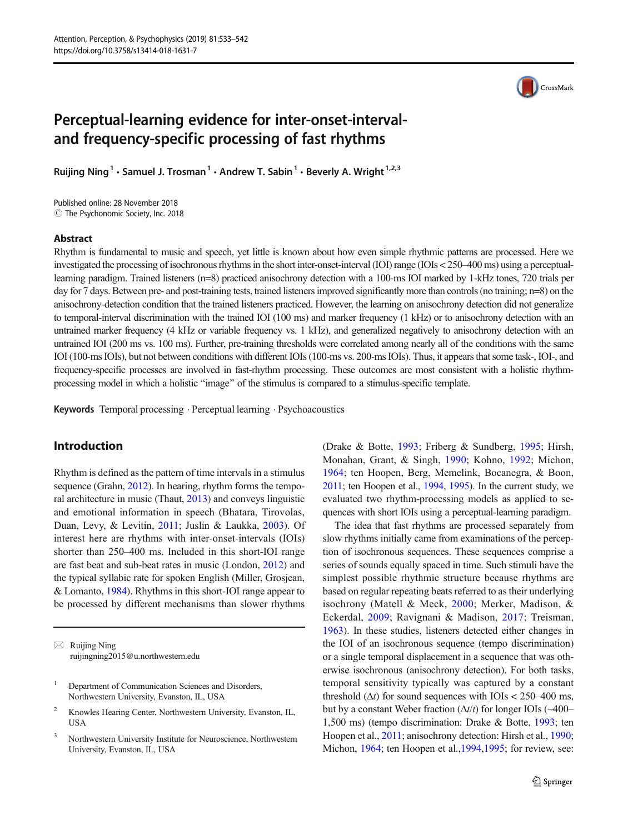# Perceptual-learning evidence for inter-onset-intervaland frequency-specific processing of fast rhythms

Ruijing Ning<sup>1</sup> · Samuel J. Trosman<sup>1</sup> · Andrew T. Sabin<sup>1</sup> · Beverly A. Wright<sup>1,2,3</sup>

Published online: 28 November 2018  $\odot$  The Psychonomic Society, Inc. 2018

#### Abstract



Rhythm is fundamental to music and speech, yet little is known about how even simple rhythmic patterns are processed. Here we investigated the processing of isochronous rhythms in the short inter-onset-interval (IOI) range (IOIs < 250–400 ms) using a perceptuallearning paradigm. Trained listeners (n=8) practiced anisochrony detection with a 100-ms IOI marked by 1-kHz tones, 720 trials per day for 7 days. Between pre- and post-training tests, trained listeners improved significantly more than controls (no training; n=8) on the anisochrony-detection condition that the trained listeners practiced. However, the learning on anisochrony detection did not generalize to temporal-interval discrimination with the trained IOI (100 ms) and marker frequency (1 kHz) or to anisochrony detection with an untrained marker frequency (4 kHz or variable frequency vs. 1 kHz), and generalized negatively to anisochrony detection with an untrained IOI (200 ms vs. 100 ms). Further, pre-training thresholds were correlated among nearly all of the conditions with the same IOI (100-ms IOIs), but not between conditions with different IOIs (100-ms vs. 200-ms IOIs). Thus, it appears that some task-, IOI-, and frequency-specific processes are involved in fast-rhythm processing. These outcomes are most consistent with a holistic rhythmprocessing model in which a holistic "image" of the stimulus is compared to a stimulus-specific template.

Keywords Temporal processing . Perceptual learning . Psychoacoustics

# Introduction

Rhythm is defined as the pattern of time intervals in a stimulus sequence (Grahn, [2012\)](#page-8-0). In hearing, rhythm forms the temporal architecture in music (Thaut, [2013\)](#page-9-0) and conveys linguistic and emotional information in speech (Bhatara, Tirovolas, Duan, Levy, & Levitin, [2011;](#page-8-0) Juslin & Laukka, [2003](#page-8-0)). Of interest here are rhythms with inter-onset-intervals (IOIs) shorter than 250–400 ms. Included in this short-IOI range are fast beat and sub-beat rates in music (London, [2012](#page-9-0)) and the typical syllabic rate for spoken English (Miller, Grosjean, & Lomanto, [1984](#page-9-0)). Rhythms in this short-IOI range appear to be processed by different mechanisms than slower rhythms

(Drake & Botte, [1993](#page-8-0); Friberg & Sundberg, [1995](#page-8-0); Hirsh, Monahan, Grant, & Singh, [1990](#page-8-0); Kohno, [1992;](#page-8-0) Michon, [1964](#page-9-0); ten Hoopen, Berg, Memelink, Bocanegra, & Boon, [2011;](#page-9-0) ten Hoopen et al., [1994,](#page-9-0) [1995](#page-9-0)). In the current study, we evaluated two rhythm-processing models as applied to sequences with short IOIs using a perceptual-learning paradigm.

The idea that fast rhythms are processed separately from slow rhythms initially came from examinations of the perception of isochronous sequences. These sequences comprise a series of sounds equally spaced in time. Such stimuli have the simplest possible rhythmic structure because rhythms are based on regular repeating beats referred to as their underlying isochrony (Matell & Meck, [2000](#page-9-0); Merker, Madison, & Eckerdal, [2009](#page-9-0); Ravignani & Madison, [2017;](#page-9-0) Treisman, [1963\)](#page-9-0). In these studies, listeners detected either changes in the IOI of an isochronous sequence (tempo discrimination) or a single temporal displacement in a sequence that was otherwise isochronous (anisochrony detection). For both tasks, temporal sensitivity typically was captured by a constant threshold  $(\Delta t)$  for sound sequences with IOIs < 250–400 ms, but by a constant Weber fraction  $(\Delta t/t)$  for longer IOIs (~400– 1,500 ms) (tempo discrimination: Drake & Botte, [1993](#page-8-0); ten Hoopen et al., [2011](#page-9-0); anisochrony detection: Hirsh et al., [1990;](#page-8-0) Michon, [1964](#page-9-0); ten Hoopen et al.[,1994,1995;](#page-9-0) for review, see:

 $\boxtimes$  Ruijing Ning [ruijingning2015@u.northwestern.edu](mailto:ruijingning2015@u.northwestern.edu)

<sup>&</sup>lt;sup>1</sup> Department of Communication Sciences and Disorders, Northwestern University, Evanston, IL, USA

<sup>&</sup>lt;sup>2</sup> Knowles Hearing Center, Northwestern University, Evanston, IL, **USA** 

<sup>&</sup>lt;sup>3</sup> Northwestern University Institute for Neuroscience, Northwestern University, Evanston, IL, USA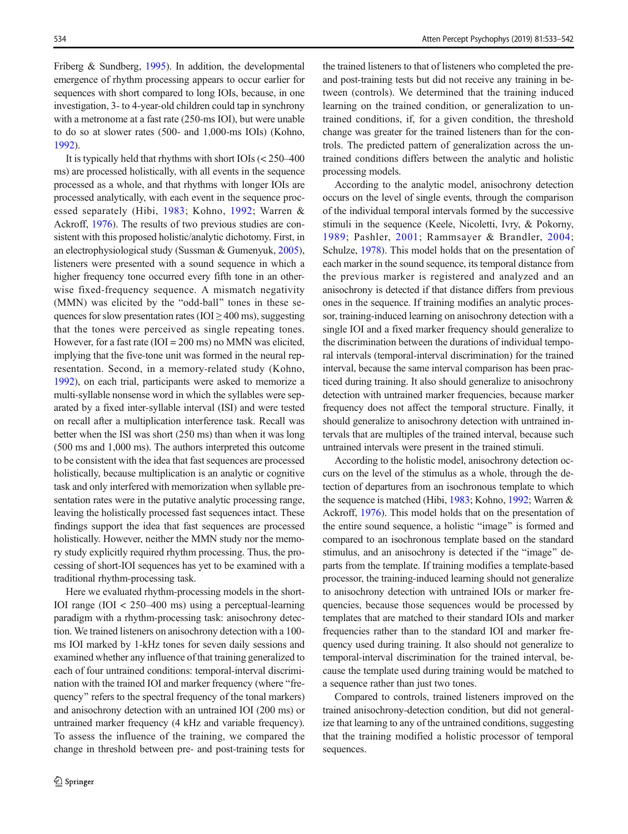Friberg & Sundberg, [1995](#page-8-0)). In addition, the developmental emergence of rhythm processing appears to occur earlier for sequences with short compared to long IOIs, because, in one investigation, 3- to 4-year-old children could tap in synchrony with a metronome at a fast rate (250-ms IOI), but were unable to do so at slower rates (500- and 1,000-ms IOIs) (Kohno, [1992\)](#page-8-0).

It is typically held that rhythms with short IOIs (< 250–400 ms) are processed holistically, with all events in the sequence processed as a whole, and that rhythms with longer IOIs are processed analytically, with each event in the sequence processed separately (Hibi, [1983;](#page-8-0) Kohno, [1992;](#page-8-0) Warren & Ackroff, [1976\)](#page-9-0). The results of two previous studies are consistent with this proposed holistic/analytic dichotomy. First, in an electrophysiological study (Sussman & Gumenyuk, [2005\)](#page-9-0), listeners were presented with a sound sequence in which a higher frequency tone occurred every fifth tone in an otherwise fixed-frequency sequence. A mismatch negativity  $(MMN)$  was elicited by the "odd-ball" tones in these sequences for slow presentation rates (IOI  $\geq$  400 ms), suggesting that the tones were perceived as single repeating tones. However, for a fast rate  $(IOI = 200 \text{ ms})$  no MMN was elicited, implying that the five-tone unit was formed in the neural representation. Second, in a memory-related study (Kohno, [1992\)](#page-8-0), on each trial, participants were asked to memorize a multi-syllable nonsense word in which the syllables were separated by a fixed inter-syllable interval (ISI) and were tested on recall after a multiplication interference task. Recall was better when the ISI was short (250 ms) than when it was long (500 ms and 1,000 ms). The authors interpreted this outcome to be consistent with the idea that fast sequences are processed holistically, because multiplication is an analytic or cognitive task and only interfered with memorization when syllable presentation rates were in the putative analytic processing range, leaving the holistically processed fast sequences intact. These findings support the idea that fast sequences are processed holistically. However, neither the MMN study nor the memory study explicitly required rhythm processing. Thus, the processing of short-IOI sequences has yet to be examined with a traditional rhythm-processing task.

Here we evaluated rhythm-processing models in the short-IOI range (IOI < 250–400 ms) using a perceptual-learning paradigm with a rhythm-processing task: anisochrony detection. We trained listeners on anisochrony detection with a 100 ms IOI marked by 1-kHz tones for seven daily sessions and examined whether any influence of that training generalized to each of four untrained conditions: temporal-interval discrimination with the trained IOI and marker frequency (where "frequency" refers to the spectral frequency of the tonal markers) and anisochrony detection with an untrained IOI (200 ms) or untrained marker frequency (4 kHz and variable frequency). To assess the influence of the training, we compared the change in threshold between pre- and post-training tests for

the trained listeners to that of listeners who completed the preand post-training tests but did not receive any training in between (controls). We determined that the training induced learning on the trained condition, or generalization to untrained conditions, if, for a given condition, the threshold change was greater for the trained listeners than for the controls. The predicted pattern of generalization across the untrained conditions differs between the analytic and holistic processing models.

According to the analytic model, anisochrony detection occurs on the level of single events, through the comparison of the individual temporal intervals formed by the successive stimuli in the sequence (Keele, Nicoletti, Ivry, & Pokorny, [1989](#page-8-0); Pashler, [2001](#page-9-0); Rammsayer & Brandler, [2004;](#page-9-0) Schulze, [1978\)](#page-9-0). This model holds that on the presentation of each marker in the sound sequence, its temporal distance from the previous marker is registered and analyzed and an anisochrony is detected if that distance differs from previous ones in the sequence. If training modifies an analytic processor, training-induced learning on anisochrony detection with a single IOI and a fixed marker frequency should generalize to the discrimination between the durations of individual temporal intervals (temporal-interval discrimination) for the trained interval, because the same interval comparison has been practiced during training. It also should generalize to anisochrony detection with untrained marker frequencies, because marker frequency does not affect the temporal structure. Finally, it should generalize to anisochrony detection with untrained intervals that are multiples of the trained interval, because such untrained intervals were present in the trained stimuli.

According to the holistic model, anisochrony detection occurs on the level of the stimulus as a whole, through the detection of departures from an isochronous template to which the sequence is matched (Hibi, [1983;](#page-8-0) Kohno, [1992](#page-8-0); Warren & Ackroff, [1976](#page-9-0)). This model holds that on the presentation of the entire sound sequence, a holistic "image" is formed and compared to an isochronous template based on the standard stimulus, and an anisochrony is detected if the "image" departs from the template. If training modifies a template-based processor, the training-induced learning should not generalize to anisochrony detection with untrained IOIs or marker frequencies, because those sequences would be processed by templates that are matched to their standard IOIs and marker frequencies rather than to the standard IOI and marker frequency used during training. It also should not generalize to temporal-interval discrimination for the trained interval, because the template used during training would be matched to a sequence rather than just two tones.

Compared to controls, trained listeners improved on the trained anisochrony-detection condition, but did not generalize that learning to any of the untrained conditions, suggesting that the training modified a holistic processor of temporal sequences.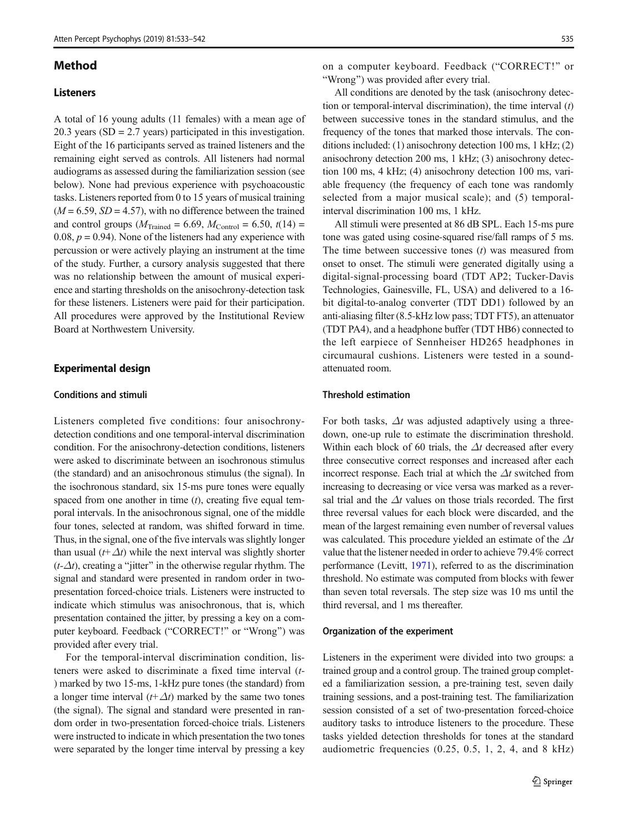## Method

## Listeners

A total of 16 young adults (11 females) with a mean age of 20.3 years ( $SD = 2.7$  years) participated in this investigation. Eight of the 16 participants served as trained listeners and the remaining eight served as controls. All listeners had normal audiograms as assessed during the familiarization session (see below). None had previous experience with psychoacoustic tasks. Listeners reported from 0 to 15 years of musical training  $(M = 6.59, SD = 4.57)$ , with no difference between the trained and control groups ( $M_{\text{Triangle}} = 6.69$ ,  $M_{\text{Control}} = 6.50$ ,  $t(14) =$ 0.08,  $p = 0.94$ ). None of the listeners had any experience with percussion or were actively playing an instrument at the time of the study. Further, a cursory analysis suggested that there was no relationship between the amount of musical experience and starting thresholds on the anisochrony-detection task for these listeners. Listeners were paid for their participation. All procedures were approved by the Institutional Review Board at Northwestern University.

## Experimental design

## Conditions and stimuli

Listeners completed five conditions: four anisochronydetection conditions and one temporal-interval discrimination condition. For the anisochrony-detection conditions, listeners were asked to discriminate between an isochronous stimulus (the standard) and an anisochronous stimulus (the signal). In the isochronous standard, six 15-ms pure tones were equally spaced from one another in time  $(t)$ , creating five equal temporal intervals. In the anisochronous signal, one of the middle four tones, selected at random, was shifted forward in time. Thus, in the signal, one of the five intervals was slightly longer than usual  $(t+\Delta t)$  while the next interval was slightly shorter  $(t-\Delta t)$ , creating a "jitter" in the otherwise regular rhythm. The signal and standard were presented in random order in twopresentation forced-choice trials. Listeners were instructed to indicate which stimulus was anisochronous, that is, which presentation contained the jitter, by pressing a key on a computer keyboard. Feedback ("CORRECT!" or "Wrong") was provided after every trial.

For the temporal-interval discrimination condition, listeners were asked to discriminate a fixed time interval (t- ) marked by two 15-ms, 1-kHz pure tones (the standard) from a longer time interval  $(t+\Delta t)$  marked by the same two tones (the signal). The signal and standard were presented in random order in two-presentation forced-choice trials. Listeners were instructed to indicate in which presentation the two tones were separated by the longer time interval by pressing a key on a computer keyboard. Feedback ("CORRECT!" or "Wrong") was provided after every trial.

All conditions are denoted by the task (anisochrony detection or temporal-interval discrimination), the time interval  $(t)$ between successive tones in the standard stimulus, and the frequency of the tones that marked those intervals. The conditions included: (1) anisochrony detection 100 ms, 1 kHz; (2) anisochrony detection 200 ms, 1 kHz; (3) anisochrony detection 100 ms, 4 kHz; (4) anisochrony detection 100 ms, variable frequency (the frequency of each tone was randomly selected from a major musical scale); and (5) temporalinterval discrimination 100 ms, 1 kHz.

All stimuli were presented at 86 dB SPL. Each 15-ms pure tone was gated using cosine-squared rise/fall ramps of 5 ms. The time between successive tones  $(t)$  was measured from onset to onset. The stimuli were generated digitally using a digital-signal-processing board (TDT AP2; Tucker-Davis Technologies, Gainesville, FL, USA) and delivered to a 16 bit digital-to-analog converter (TDT DD1) followed by an anti-aliasing filter (8.5-kHz low pass; TDT FT5), an attenuator (TDT PA4), and a headphone buffer (TDT HB6) connected to the left earpiece of Sennheiser HD265 headphones in circumaural cushions. Listeners were tested in a soundattenuated room.

## Threshold estimation

For both tasks,  $\Delta t$  was adjusted adaptively using a threedown, one-up rule to estimate the discrimination threshold. Within each block of 60 trials, the  $\Delta t$  decreased after every three consecutive correct responses and increased after each incorrect response. Each trial at which the  $\Delta t$  switched from increasing to decreasing or vice versa was marked as a reversal trial and the  $\Delta t$  values on those trials recorded. The first three reversal values for each block were discarded, and the mean of the largest remaining even number of reversal values was calculated. This procedure yielded an estimate of the  $\Delta t$ value that the listener needed in order to achieve 79.4% correct performance (Levitt, [1971](#page-9-0)), referred to as the discrimination threshold. No estimate was computed from blocks with fewer than seven total reversals. The step size was 10 ms until the third reversal, and 1 ms thereafter.

## Organization of the experiment

Listeners in the experiment were divided into two groups: a trained group and a control group. The trained group completed a familiarization session, a pre-training test, seven daily training sessions, and a post-training test. The familiarization session consisted of a set of two-presentation forced-choice auditory tasks to introduce listeners to the procedure. These tasks yielded detection thresholds for tones at the standard audiometric frequencies (0.25, 0.5, 1, 2, 4, and 8 kHz)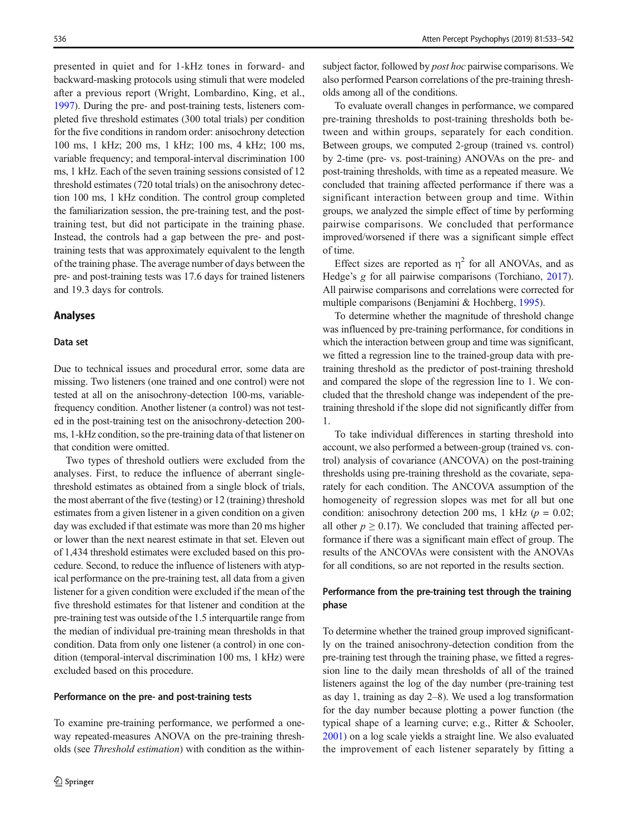presented in quiet and for 1-kHz tones in forward- and backward-masking protocols using stimuli that were modeled after a previous report (Wright, Lombardino, King, et al., [1997\)](#page-9-0). During the pre- and post-training tests, listeners completed five threshold estimates (300 total trials) per condition for the five conditions in random order: anisochrony detection 100 ms, 1 kHz; 200 ms, 1 kHz; 100 ms, 4 kHz; 100 ms, variable frequency; and temporal-interval discrimination 100 ms, 1 kHz. Each of the seven training sessions consisted of 12 threshold estimates (720 total trials) on the anisochrony detection 100 ms, 1 kHz condition. The control group completed the familiarization session, the pre-training test, and the posttraining test, but did not participate in the training phase. Instead, the controls had a gap between the pre- and posttraining tests that was approximately equivalent to the length of the training phase. The average number of days between the pre- and post-training tests was 17.6 days for trained listeners and 19.3 days for controls.

### Analyses

#### Data set

Due to technical issues and procedural error, some data are missing. Two listeners (one trained and one control) were not tested at all on the anisochrony-detection 100-ms, variablefrequency condition. Another listener (a control) was not tested in the post-training test on the anisochrony-detection 200 ms, 1-kHz condition, so the pre-training data of that listener on that condition were omitted.

Two types of threshold outliers were excluded from the analyses. First, to reduce the influence of aberrant singlethreshold estimates as obtained from a single block of trials, the most aberrant of the five (testing) or 12 (training) threshold estimates from a given listener in a given condition on a given day was excluded if that estimate was more than 20 ms higher or lower than the next nearest estimate in that set. Eleven out of 1,434 threshold estimates were excluded based on this procedure. Second, to reduce the influence of listeners with atypical performance on the pre-training test, all data from a given listener for a given condition were excluded if the mean of the five threshold estimates for that listener and condition at the pre-training test was outside of the 1.5 interquartile range from the median of individual pre-training mean thresholds in that condition. Data from only one listener (a control) in one condition (temporal-interval discrimination 100 ms, 1 kHz) were excluded based on this procedure.

#### Performance on the pre- and post-training tests

To examine pre-training performance, we performed a oneway repeated-measures ANOVA on the pre-training thresholds (see Threshold estimation) with condition as the withinsubject factor, followed by *post hoc* pairwise comparisons. We also performed Pearson correlations of the pre-training thresholds among all of the conditions.

To evaluate overall changes in performance, we compared pre-training thresholds to post-training thresholds both between and within groups, separately for each condition. Between groups, we computed 2-group (trained vs. control) by 2-time (pre- vs. post-training) ANOVAs on the pre- and post-training thresholds, with time as a repeated measure. We concluded that training affected performance if there was a significant interaction between group and time. Within groups, we analyzed the simple effect of time by performing pairwise comparisons. We concluded that performance improved/worsened if there was a significant simple effect of time.

Effect sizes are reported as  $\eta^2$  for all ANOVAs, and as Hedge's g for all pairwise comparisons (Torchiano, [2017\)](#page-9-0). All pairwise comparisons and correlations were corrected for multiple comparisons (Benjamini & Hochberg, [1995\)](#page-8-0).

To determine whether the magnitude of threshold change was influenced by pre-training performance, for conditions in which the interaction between group and time was significant, we fitted a regression line to the trained-group data with pretraining threshold as the predictor of post-training threshold and compared the slope of the regression line to 1. We concluded that the threshold change was independent of the pretraining threshold if the slope did not significantly differ from 1.

To take individual differences in starting threshold into account, we also performed a between-group (trained vs. control) analysis of covariance (ANCOVA) on the post-training thresholds using pre-training threshold as the covariate, separately for each condition. The ANCOVA assumption of the homogeneity of regression slopes was met for all but one condition: anisochrony detection 200 ms, 1 kHz ( $p = 0.02$ ; all other  $p \ge 0.17$ ). We concluded that training affected performance if there was a significant main effect of group. The results of the ANCOVAs were consistent with the ANOVAs for all conditions, so are not reported in the results section.

# Performance from the pre-training test through the training phase

To determine whether the trained group improved significantly on the trained anisochrony-detection condition from the pre-training test through the training phase, we fitted a regression line to the daily mean thresholds of all of the trained listeners against the log of the day number (pre-training test as day 1, training as day 2–8). We used a log transformation for the day number because plotting a power function (the typical shape of a learning curve; e.g., Ritter & Schooler, [2001\)](#page-9-0) on a log scale yields a straight line. We also evaluated the improvement of each listener separately by fitting a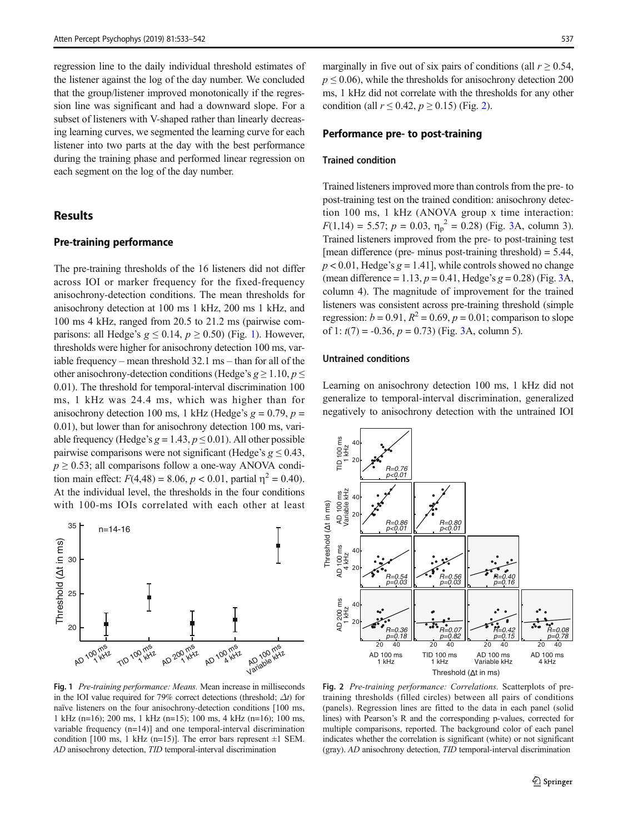<span id="page-4-0"></span>regression line to the daily individual threshold estimates of the listener against the log of the day number. We concluded that the group/listener improved monotonically if the regression line was significant and had a downward slope. For a subset of listeners with V-shaped rather than linearly decreasing learning curves, we segmented the learning curve for each listener into two parts at the day with the best performance during the training phase and performed linear regression on each segment on the log of the day number.

# **Results**

## Pre-training performance

The pre-training thresholds of the 16 listeners did not differ across IOI or marker frequency for the fixed-frequency anisochrony-detection conditions. The mean thresholds for anisochrony detection at 100 ms 1 kHz, 200 ms 1 kHz, and 100 ms 4 kHz, ranged from 20.5 to 21.2 ms (pairwise comparisons: all Hedge's  $g \le 0.14$ ,  $p \ge 0.50$ ) (Fig. 1). However, thresholds were higher for anisochrony detection 100 ms, variable frequency – mean threshold 32.1 ms – than for all of the other anisochrony-detection conditions (Hedge's  $g \ge 1.10$ ,  $p \le$ 0.01). The threshold for temporal-interval discrimination 100 ms, 1 kHz was 24.4 ms, which was higher than for anisochrony detection 100 ms, 1 kHz (Hedge's  $g = 0.79$ ,  $p =$ 0.01), but lower than for anisochrony detection 100 ms, variable frequency (Hedge's  $g = 1.43$ ,  $p \le 0.01$ ). All other possible pairwise comparisons were not significant (Hedge's  $g \le 0.43$ ,  $p \ge 0.53$ ; all comparisons follow a one-way ANOVA condition main effect:  $F(4,48) = 8.06$ ,  $p < 0.01$ , partial  $\eta^2 = 0.40$ ). At the individual level, the thresholds in the four conditions with 100-ms IOIs correlated with each other at least



Fig. 1 *Pre-training performance: Means.* Mean increase in milliseconds in the IOI value required for 79% correct detections (threshold;  $\Delta t$ ) for naïve listeners on the four anisochrony-detection conditions [100 ms, 1 kHz (n=16); 200 ms, 1 kHz (n=15); 100 ms, 4 kHz (n=16); 100 ms, variable frequency (n=14)] and one temporal-interval discrimination condition [100 ms, 1 kHz (n=15)]. The error bars represent  $\pm 1$  SEM. AD anisochrony detection, TID temporal-interval discrimination

marginally in five out of six pairs of conditions (all  $r > 0.54$ ,  $p \le 0.06$ ), while the thresholds for anisochrony detection 200 ms, 1 kHz did not correlate with the thresholds for any other condition (all  $r \le 0.42$ ,  $p \ge 0.15$ ) (Fig. 2).

#### Performance pre- to post-training

## Trained condition

Trained listeners improved more than controls from the pre- to post-training test on the trained condition: anisochrony detection 100 ms, 1 kHz (ANOVA group x time interaction:  $F(1,14) = 5.57$ ;  $p = 0.03$ ,  $\eta_p^2 = 0.28$ ) (Fig. [3A](#page-5-0), column 3). Trained listeners improved from the pre- to post-training test [mean difference (pre- minus post-training threshold)  $=$  5.44,  $p < 0.01$ , Hedge's  $g = 1.41$ , while controls showed no change (mean difference = 1.13,  $p = 0.41$ , Hedge's  $g = 0.28$ ) (Fig. [3A](#page-5-0), column 4). The magnitude of improvement for the trained listeners was consistent across pre-training threshold (simple regression:  $b = 0.91$ ,  $R^2 = 0.69$ ,  $p = 0.01$ ; comparison to slope of 1:  $t(7) = -0.36$ ,  $p = 0.73$ ) (Fig. [3A](#page-5-0), column 5).

## Untrained conditions

Learning on anisochrony detection 100 ms, 1 kHz did not generalize to temporal-interval discrimination, generalized negatively to anisochrony detection with the untrained IOI



Fig. 2 Pre-training performance: Correlations. Scatterplots of pretraining thresholds (filled circles) between all pairs of conditions (panels). Regression lines are fitted to the data in each panel (solid lines) with Pearson's R and the corresponding p-values, corrected for multiple comparisons, reported. The background color of each panel indicates whether the correlation is significant (white) or not significant (gray). AD anisochrony detection, TID temporal-interval discrimination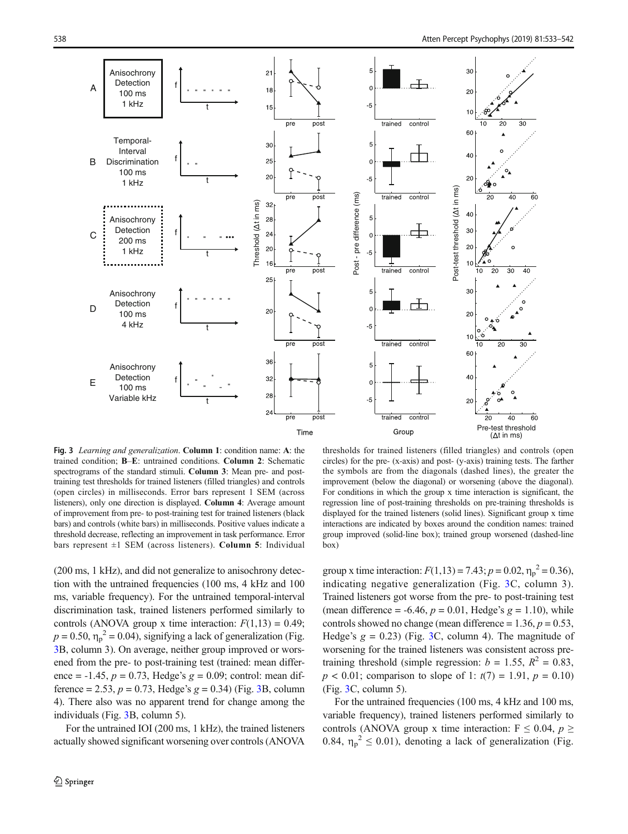<span id="page-5-0"></span>

Fig. 3 Learning and generalization. Column 1: condition name: A: the trained condition; B–E: untrained conditions. Column 2: Schematic spectrograms of the standard stimuli. Column 3: Mean pre- and posttraining test thresholds for trained listeners (filled triangles) and controls (open circles) in milliseconds. Error bars represent 1 SEM (across listeners), only one direction is displayed. Column 4: Average amount of improvement from pre- to post-training test for trained listeners (black bars) and controls (white bars) in milliseconds. Positive values indicate a threshold decrease, reflecting an improvement in task performance. Error bars represent  $\pm 1$  SEM (across listeners). Column 5: Individual

(200 ms, 1 kHz), and did not generalize to anisochrony detection with the untrained frequencies (100 ms, 4 kHz and 100 ms, variable frequency). For the untrained temporal-interval discrimination task, trained listeners performed similarly to controls (ANOVA group x time interaction:  $F(1,13) = 0.49$ ;  $p = 0.50$ ,  $\eta_p^2 = 0.04$ ), signifying a lack of generalization (Fig. 3B, column 3). On average, neither group improved or worsened from the pre- to post-training test (trained: mean difference = -1.45,  $p = 0.73$ , Hedge's  $g = 0.09$ ; control: mean difference = 2.53,  $p = 0.73$ , Hedge's  $g = 0.34$ ) (Fig. 3B, column 4). There also was no apparent trend for change among the individuals (Fig. 3B, column 5).

For the untrained IOI (200 ms, 1 kHz), the trained listeners actually showed significant worsening over controls (ANOVA

thresholds for trained listeners (filled triangles) and controls (open circles) for the pre- (x-axis) and post- (y-axis) training tests. The farther the symbols are from the diagonals (dashed lines), the greater the improvement (below the diagonal) or worsening (above the diagonal). For conditions in which the group x time interaction is significant, the regression line of post-training thresholds on pre-training thresholds is displayed for the trained listeners (solid lines). Significant group x time interactions are indicated by boxes around the condition names: trained group improved (solid-line box); trained group worsened (dashed-line box)

group x time interaction:  $F(1,13) = 7.43$ ;  $p = 0.02$ ,  $\eta_p^2 = 0.36$ ), indicating negative generalization (Fig. 3C, column 3). Trained listeners got worse from the pre- to post-training test (mean difference = -6.46,  $p = 0.01$ , Hedge's  $g = 1.10$ ), while controls showed no change (mean difference =  $1.36, p = 0.53$ , Hedge's  $g = 0.23$ ) (Fig. 3C, column 4). The magnitude of worsening for the trained listeners was consistent across pretraining threshold (simple regression:  $b = 1.55$ ,  $R^2 = 0.83$ ,  $p < 0.01$ ; comparison to slope of 1:  $t(7) = 1.91$ ,  $p = 0.10$ ) (Fig. 3C, column 5).

For the untrained frequencies (100 ms, 4 kHz and 100 ms, variable frequency), trained listeners performed similarly to controls (ANOVA group x time interaction:  $F \le 0.04$ ,  $p \ge$ 0.84,  $\eta_p^2 \le 0.01$ ), denoting a lack of generalization (Fig.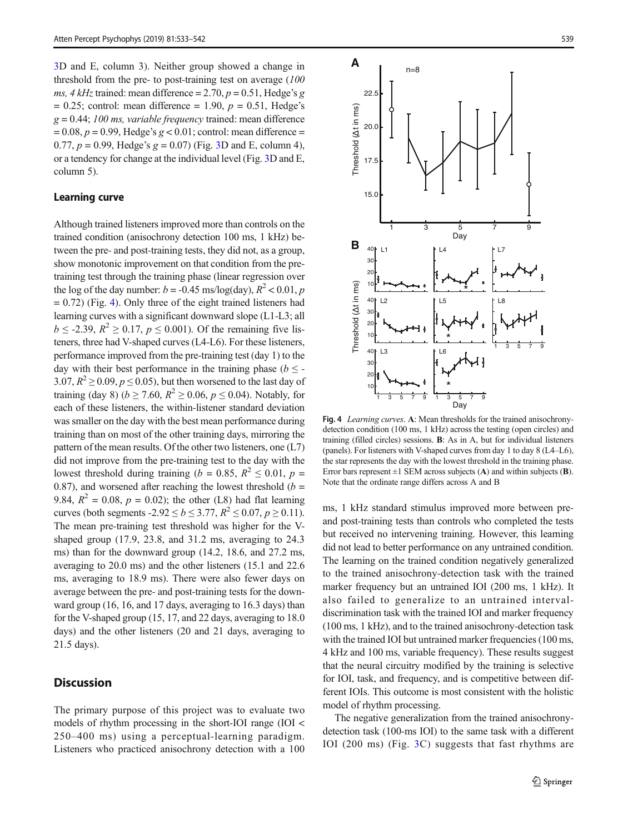[3](#page-5-0)D and E, column 3). Neither group showed a change in threshold from the pre- to post-training test on average (100 ms, 4 kHz trained: mean difference = 2.70,  $p = 0.51$ , Hedge's g  $= 0.25$ ; control: mean difference  $= 1.90$ ,  $p = 0.51$ , Hedge's  $g = 0.44$ ; 100 ms, variable frequency trained: mean difference  $= 0.08$ ,  $p = 0.99$ , Hedge's  $g < 0.01$ ; control: mean difference = 0.77,  $p = 0.99$ , Hedge's  $g = 0.07$ ) (Fig. [3D](#page-5-0) and E, column 4), or a tendency for change at the individual level (Fig. [3D](#page-5-0) and E, column 5).

## Learning curve

Although trained listeners improved more than controls on the trained condition (anisochrony detection 100 ms, 1 kHz) between the pre- and post-training tests, they did not, as a group, show monotonic improvement on that condition from the pretraining test through the training phase (linear regression over the log of the day number:  $b = -0.45$  ms/log(day),  $R^2 < 0.01$ , p  $= 0.72$ ) (Fig. 4). Only three of the eight trained listeners had learning curves with a significant downward slope (L1-L3; all  $b \le 2.39$ ,  $R^2 \ge 0.17$ ,  $p \le 0.001$ ). Of the remaining five listeners, three had V-shaped curves (L4-L6). For these listeners, performance improved from the pre-training test (day 1) to the day with their best performance in the training phase ( $b \leq -1$ ) 3.07,  $R^2 \ge 0.09$ ,  $p \le 0.05$ ), but then worsened to the last day of training (day 8) ( $b \ge 7.60$ ,  $R^2 \ge 0.06$ ,  $p \le 0.04$ ). Notably, for each of these listeners, the within-listener standard deviation was smaller on the day with the best mean performance during training than on most of the other training days, mirroring the pattern of the mean results. Of the other two listeners, one (L7) did not improve from the pre-training test to the day with the lowest threshold during training ( $b = 0.85$ ,  $R^2 \le 0.01$ ,  $p =$ 0.87), and worsened after reaching the lowest threshold ( $b =$ 9.84,  $R^2 = 0.08$ ,  $p = 0.02$ ); the other (L8) had flat learning curves (both segments  $-2.92 \le b \le 3.77$ ,  $R^2 \le 0.07$ ,  $p \ge 0.11$ ). The mean pre-training test threshold was higher for the Vshaped group (17.9, 23.8, and 31.2 ms, averaging to 24.3 ms) than for the downward group (14.2, 18.6, and 27.2 ms, averaging to 20.0 ms) and the other listeners (15.1 and 22.6 ms, averaging to 18.9 ms). There were also fewer days on average between the pre- and post-training tests for the downward group (16, 16, and 17 days, averaging to 16.3 days) than for the V-shaped group (15, 17, and 22 days, averaging to 18.0 days) and the other listeners (20 and 21 days, averaging to 21.5 days).

# **Discussion**

The primary purpose of this project was to evaluate two models of rhythm processing in the short-IOI range (IOI < 250–400 ms) using a perceptual-learning paradigm. Listeners who practiced anisochrony detection with a 100



Fig. 4 Learning curves. A: Mean thresholds for the trained anisochronydetection condition (100 ms, 1 kHz) across the testing (open circles) and training (filled circles) sessions. B: As in A, but for individual listeners (panels). For listeners with V-shaped curves from day 1 to day 8 (L4–L6), the star represents the day with the lowest threshold in the training phase. Error bars represent  $\pm 1$  SEM across subjects (A) and within subjects (B). Note that the ordinate range differs across A and B

ms, 1 kHz standard stimulus improved more between preand post-training tests than controls who completed the tests but received no intervening training. However, this learning did not lead to better performance on any untrained condition. The learning on the trained condition negatively generalized to the trained anisochrony-detection task with the trained marker frequency but an untrained IOI (200 ms, 1 kHz). It also failed to generalize to an untrained intervaldiscrimination task with the trained IOI and marker frequency (100 ms, 1 kHz), and to the trained anisochrony-detection task with the trained IOI but untrained marker frequencies (100 ms, 4 kHz and 100 ms, variable frequency). These results suggest that the neural circuitry modified by the training is selective for IOI, task, and frequency, and is competitive between different IOIs. This outcome is most consistent with the holistic model of rhythm processing.

The negative generalization from the trained anisochronydetection task (100-ms IOI) to the same task with a different IOI (200 ms) (Fig. [3](#page-5-0)C) suggests that fast rhythms are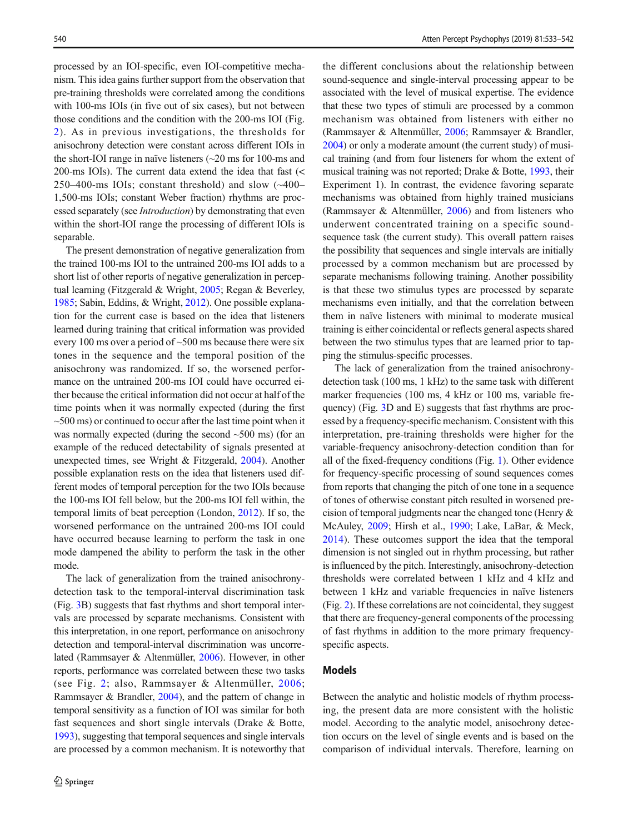processed by an IOI-specific, even IOI-competitive mechanism. This idea gains further support from the observation that pre-training thresholds were correlated among the conditions with 100-ms IOIs (in five out of six cases), but not between those conditions and the condition with the 200-ms IOI (Fig. [2\)](#page-4-0). As in previous investigations, the thresholds for anisochrony detection were constant across different IOIs in the short-IOI range in naïve listeners (~20 ms for 100-ms and 200-ms IOIs). The current data extend the idea that fast (< 250–400-ms IOIs; constant threshold) and slow (~400– 1,500-ms IOIs; constant Weber fraction) rhythms are processed separately (see Introduction) by demonstrating that even within the short-IOI range the processing of different IOIs is separable.

The present demonstration of negative generalization from the trained 100-ms IOI to the untrained 200-ms IOI adds to a short list of other reports of negative generalization in perceptual learning (Fitzgerald & Wright, [2005](#page-8-0); Regan & Beverley, [1985;](#page-9-0) Sabin, Eddins, & Wright, [2012](#page-9-0)). One possible explanation for the current case is based on the idea that listeners learned during training that critical information was provided every 100 ms over a period of  $\sim$ 500 ms because there were six tones in the sequence and the temporal position of the anisochrony was randomized. If so, the worsened performance on the untrained 200-ms IOI could have occurred either because the critical information did not occur at half of the time points when it was normally expected (during the first  $\sim$  500 ms) or continued to occur after the last time point when it was normally expected (during the second  $\sim$ 500 ms) (for an example of the reduced detectability of signals presented at unexpected times, see Wright & Fitzgerald, [2004](#page-9-0)). Another possible explanation rests on the idea that listeners used different modes of temporal perception for the two IOIs because the 100-ms IOI fell below, but the 200-ms IOI fell within, the temporal limits of beat perception (London, [2012](#page-9-0)). If so, the worsened performance on the untrained 200-ms IOI could have occurred because learning to perform the task in one mode dampened the ability to perform the task in the other mode.

The lack of generalization from the trained anisochronydetection task to the temporal-interval discrimination task (Fig. [3](#page-5-0)B) suggests that fast rhythms and short temporal intervals are processed by separate mechanisms. Consistent with this interpretation, in one report, performance on anisochrony detection and temporal-interval discrimination was uncorrelated (Rammsayer & Altenmüller, [2006](#page-9-0)). However, in other reports, performance was correlated between these two tasks (see Fig. [2](#page-4-0); also, Rammsayer & Altenmüller, [2006](#page-9-0); Rammsayer & Brandler, [2004\)](#page-9-0), and the pattern of change in temporal sensitivity as a function of IOI was similar for both fast sequences and short single intervals (Drake & Botte, [1993\)](#page-8-0), suggesting that temporal sequences and single intervals are processed by a common mechanism. It is noteworthy that

the different conclusions about the relationship between sound-sequence and single-interval processing appear to be associated with the level of musical expertise. The evidence that these two types of stimuli are processed by a common mechanism was obtained from listeners with either no (Rammsayer & Altenmüller, [2006;](#page-9-0) Rammsayer & Brandler, [2004\)](#page-9-0) or only a moderate amount (the current study) of musical training (and from four listeners for whom the extent of musical training was not reported; Drake & Botte, [1993,](#page-8-0) their Experiment 1). In contrast, the evidence favoring separate mechanisms was obtained from highly trained musicians (Rammsayer & Altenmüller, [2006\)](#page-9-0) and from listeners who underwent concentrated training on a specific soundsequence task (the current study). This overall pattern raises the possibility that sequences and single intervals are initially processed by a common mechanism but are processed by separate mechanisms following training. Another possibility is that these two stimulus types are processed by separate mechanisms even initially, and that the correlation between them in naïve listeners with minimal to moderate musical training is either coincidental or reflects general aspects shared between the two stimulus types that are learned prior to tapping the stimulus-specific processes.

The lack of generalization from the trained anisochronydetection task (100 ms, 1 kHz) to the same task with different marker frequencies (100 ms, 4 kHz or 100 ms, variable frequency) (Fig. [3](#page-5-0)D and E) suggests that fast rhythms are processed by a frequency-specific mechanism. Consistent with this interpretation, pre-training thresholds were higher for the variable-frequency anisochrony-detection condition than for all of the fixed-frequency conditions (Fig. [1\)](#page-4-0). Other evidence for frequency-specific processing of sound sequences comes from reports that changing the pitch of one tone in a sequence of tones of otherwise constant pitch resulted in worsened precision of temporal judgments near the changed tone (Henry & McAuley, [2009](#page-8-0); Hirsh et al., [1990;](#page-8-0) Lake, LaBar, & Meck, [2014](#page-8-0)). These outcomes support the idea that the temporal dimension is not singled out in rhythm processing, but rather is influenced by the pitch. Interestingly, anisochrony-detection thresholds were correlated between 1 kHz and 4 kHz and between 1 kHz and variable frequencies in naïve listeners (Fig. [2\)](#page-4-0). If these correlations are not coincidental, they suggest that there are frequency-general components of the processing of fast rhythms in addition to the more primary frequencyspecific aspects.

## Models

Between the analytic and holistic models of rhythm processing, the present data are more consistent with the holistic model. According to the analytic model, anisochrony detection occurs on the level of single events and is based on the comparison of individual intervals. Therefore, learning on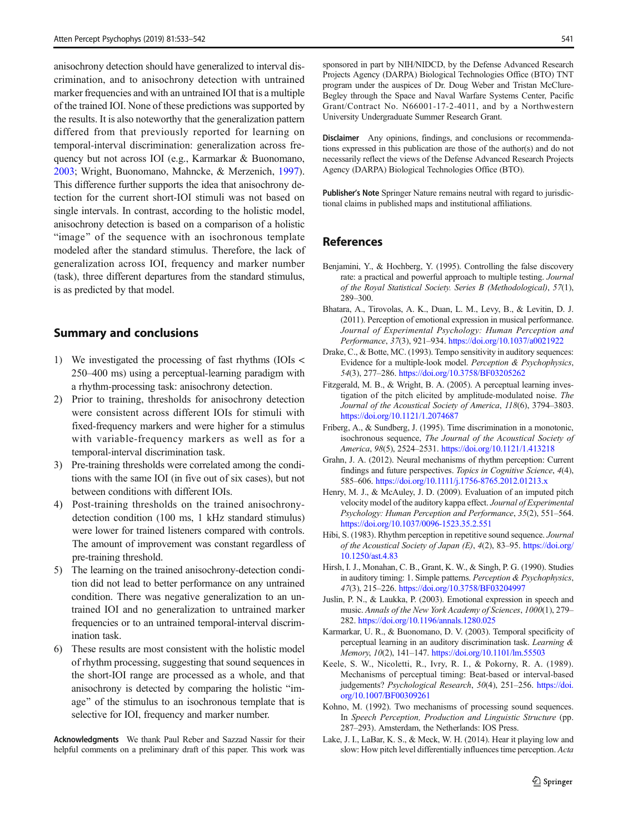<span id="page-8-0"></span>anisochrony detection should have generalized to interval discrimination, and to anisochrony detection with untrained marker frequencies and with an untrained IOI that is a multiple of the trained IOI. None of these predictions was supported by the results. It is also noteworthy that the generalization pattern differed from that previously reported for learning on temporal-interval discrimination: generalization across frequency but not across IOI (e.g., Karmarkar & Buonomano, 2003; Wright, Buonomano, Mahncke, & Merzenich, [1997\)](#page-9-0). This difference further supports the idea that anisochrony detection for the current short-IOI stimuli was not based on single intervals. In contrast, according to the holistic model, anisochrony detection is based on a comparison of a holistic "image" of the sequence with an isochronous template modeled after the standard stimulus. Therefore, the lack of generalization across IOI, frequency and marker number (task), three different departures from the standard stimulus, is as predicted by that model.

# Summary and conclusions

- 1) We investigated the processing of fast rhythms (IOIs < 250–400 ms) using a perceptual-learning paradigm with a rhythm-processing task: anisochrony detection.
- 2) Prior to training, thresholds for anisochrony detection were consistent across different IOIs for stimuli with fixed-frequency markers and were higher for a stimulus with variable-frequency markers as well as for a temporal-interval discrimination task.
- 3) Pre-training thresholds were correlated among the conditions with the same IOI (in five out of six cases), but not between conditions with different IOIs.
- 4) Post-training thresholds on the trained anisochronydetection condition (100 ms, 1 kHz standard stimulus) were lower for trained listeners compared with controls. The amount of improvement was constant regardless of pre-training threshold.
- 5) The learning on the trained anisochrony-detection condition did not lead to better performance on any untrained condition. There was negative generalization to an untrained IOI and no generalization to untrained marker frequencies or to an untrained temporal-interval discrimination task.
- 6) These results are most consistent with the holistic model of rhythm processing, suggesting that sound sequences in the short-IOI range are processed as a whole, and that anisochrony is detected by comparing the holistic "image" of the stimulus to an isochronous template that is selective for IOI, frequency and marker number.

Acknowledgments We thank Paul Reber and Sazzad Nassir for their helpful comments on a preliminary draft of this paper. This work was

sponsored in part by NIH/NIDCD, by the Defense Advanced Research Projects Agency (DARPA) Biological Technologies Office (BTO) TNT program under the auspices of Dr. Doug Weber and Tristan McClure-Begley through the Space and Naval Warfare Systems Center, Pacific Grant/Contract No. N66001-17-2-4011, and by a Northwestern University Undergraduate Summer Research Grant.

Disclaimer Any opinions, findings, and conclusions or recommendations expressed in this publication are those of the author(s) and do not necessarily reflect the views of the Defense Advanced Research Projects Agency (DARPA) Biological Technologies Office (BTO).

Publisher's Note Springer Nature remains neutral with regard to jurisdictional claims in published maps and institutional affiliations.

# References

- Benjamini, Y., & Hochberg, Y. (1995). Controlling the false discovery rate: a practical and powerful approach to multiple testing. Journal of the Royal Statistical Society. Series B (Methodological), 57(1), 289–300.
- Bhatara, A., Tirovolas, A. K., Duan, L. M., Levy, B., & Levitin, D. J. (2011). Perception of emotional expression in musical performance. Journal of Experimental Psychology: Human Perception and Performance, 37(3), 921–934. <https://doi.org/10.1037/a0021922>
- Drake, C., & Botte, MC. (1993). Tempo sensitivity in auditory sequences: Evidence for a multiple-look model. Perception & Psychophysics, 54(3), 277–286. [https://doi.org/10.3758/BF03205262](https://doi.org/10.1037/a0021922)
- Fitzgerald, M. B., & Wright, B. A. (2005). A perceptual learning investigation of the pitch elicited by amplitude-modulated noise. The Journal of the Acoustical Society of America, 118(6), 3794–3803. <https://doi.org/10.1121/1.2074687>
- Friberg, A., & Sundberg, J. (1995). Time discrimination in a monotonic, isochronous sequence, The Journal of the Acoustical Society of America, 98(5), 2524–2531. <https://doi.org/10.1121/1.413218>
- Grahn, J. A. (2012). Neural mechanisms of rhythm perception: Current findings and future perspectives. Topics in Cognitive Science, 4(4), 585–606. <https://doi.org/10.1111/j.1756-8765.2012.01213.x>
- Henry, M. J., & McAuley, J. D. (2009). Evaluation of an imputed pitch velocity model of the auditory kappa effect. Journal of Experimental Psychology: Human Perception and Performance, 35(2), 551–564. <https://doi.org/10.1037/0096-1523.35.2.551>
- Hibi, S. (1983). Rhythm perception in repetitive sound sequence. Journal of the Acoustical Society of Japan (E), 4(2), 83–95. [https://doi.org/](https://doi.org/10.1250/ast.4.83) [10.1250/ast.4.83](https://doi.org/10.1250/ast.4.83)
- Hirsh, I. J., Monahan, C. B., Grant, K. W., & Singh, P. G. (1990). Studies in auditory timing: 1. Simple patterns. Perception & Psychophysics, 47(3), 215–226. <https://doi.org/10.3758/BF03204997>
- Juslin, P. N., & Laukka, P. (2003). Emotional expression in speech and music. Annals of the New York Academy of Sciences, 1000(1), 279– 282. <https://doi.org/10.1196/annals.1280.025>
- Karmarkar, U. R., & Buonomano, D. V. (2003). Temporal specificity of perceptual learning in an auditory discrimination task. Learning & Memory, 10(2), 141–147. <https://doi.org/10.1101/lm.55503>
- Keele, S. W., Nicoletti, R., Ivry, R. I., & Pokorny, R. A. (1989). Mechanisms of perceptual timing: Beat-based or interval-based judgements? Psychological Research, 50(4), 251-256. [https://doi.](https://doi.org/10.1007/BF00309261) [org/10.1007/BF00309261](https://doi.org/10.1007/BF00309261)
- Kohno, M. (1992). Two mechanisms of processing sound sequences. In Speech Perception, Production and Linguistic Structure (pp. 287–293). Amsterdam, the Netherlands: IOS Press.
- Lake, J. I., LaBar, K. S., & Meck, W. H. (2014). Hear it playing low and slow: How pitch level differentially influences time perception. Acta